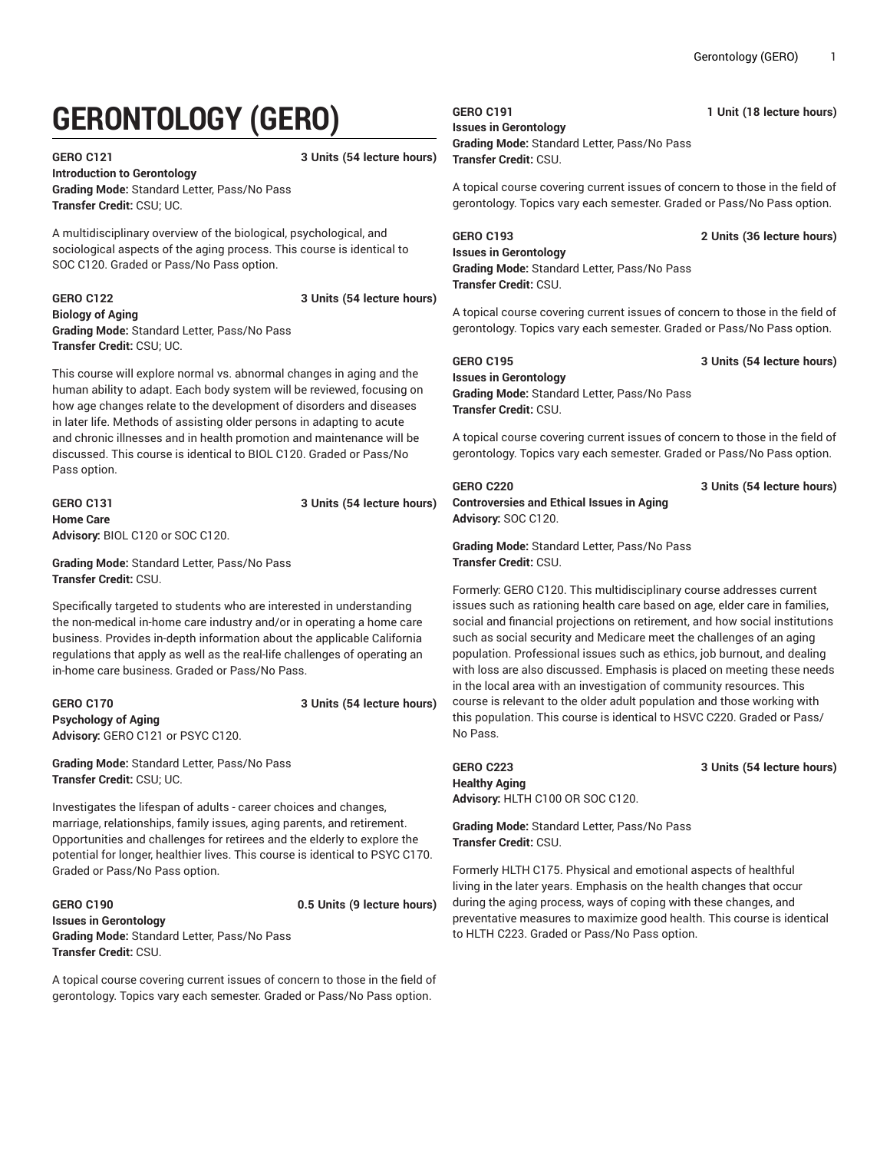# **GERONTOLOGY (GERO)**

**GERO C121 3 Units (54 lecture hours)**

**Introduction to Gerontology Grading Mode:** Standard Letter, Pass/No Pass **Transfer Credit:** CSU; UC.

A multidisciplinary overview of the biological, psychological, and sociological aspects of the aging process. This course is identical to SOC C120. Graded or Pass/No Pass option.

#### **GERO C122 3 Units (54 lecture hours) Biology of Aging Grading Mode:** Standard Letter, Pass/No Pass **Transfer Credit:** CSU; UC.

This course will explore normal vs. abnormal changes in aging and the human ability to adapt. Each body system will be reviewed, focusing on how age changes relate to the development of disorders and diseases in later life. Methods of assisting older persons in adapting to acute and chronic illnesses and in health promotion and maintenance will be discussed. This course is identical to BIOL C120. Graded or Pass/No Pass option.

### **GERO C131 3 Units (54 lecture hours) Home Care Advisory:** BIOL C120 or SOC C120.

**Grading Mode:** Standard Letter, Pass/No Pass **Transfer Credit:** CSU.

Specifically targeted to students who are interested in understanding the non-medical in-home care industry and/or in operating a home care business. Provides in-depth information about the applicable California regulations that apply as well as the real-life challenges of operating an in-home care business. Graded or Pass/No Pass.

### **GERO C170 3 Units (54 lecture hours) Psychology of Aging Advisory:** GERO C121 or PSYC C120.

**Grading Mode:** Standard Letter, Pass/No Pass **Transfer Credit:** CSU; UC.

Investigates the lifespan of adults - career choices and changes, marriage, relationships, family issues, aging parents, and retirement. Opportunities and challenges for retirees and the elderly to explore the potential for longer, healthier lives. This course is identical to PSYC C170. Graded or Pass/No Pass option.

#### **GERO C190 0.5 Units (9 lecture hours) Issues in Gerontology Grading Mode:** Standard Letter, Pass/No Pass **Transfer Credit:** CSU.

A topical course covering current issues of concern to those in the field of gerontology. Topics vary each semester. Graded or Pass/No Pass option.

## **Issues in Gerontology**

### **Grading Mode:** Standard Letter, Pass/No Pass **Transfer Credit:** CSU.

A topical course covering current issues of concern to those in the field of gerontology. Topics vary each semester. Graded or Pass/No Pass option.

### **GERO C193 2 Units (36 lecture hours)**

**Issues in Gerontology Grading Mode:** Standard Letter, Pass/No Pass **Transfer Credit:** CSU.

A topical course covering current issues of concern to those in the field of gerontology. Topics vary each semester. Graded or Pass/No Pass option.

### **GERO C195 3 Units (54 lecture hours) Issues in Gerontology Grading Mode:** Standard Letter, Pass/No Pass **Transfer Credit:** CSU.

A topical course covering current issues of concern to those in the field of gerontology. Topics vary each semester. Graded or Pass/No Pass option.

**GERO C220 3 Units (54 lecture hours)**

**Controversies and Ethical Issues in Aging Advisory:** SOC C120.

**Grading Mode:** Standard Letter, Pass/No Pass **Transfer Credit:** CSU.

Formerly: GERO C120. This multidisciplinary course addresses current issues such as rationing health care based on age, elder care in families, social and financial projections on retirement, and how social institutions such as social security and Medicare meet the challenges of an aging population. Professional issues such as ethics, job burnout, and dealing with loss are also discussed. Emphasis is placed on meeting these needs in the local area with an investigation of community resources. This course is relevant to the older adult population and those working with this population. This course is identical to HSVC C220. Graded or Pass/ No Pass.

### **GERO C223 3 Units (54 lecture hours) Healthy Aging Advisory:** HLTH C100 OR SOC C120.

**Grading Mode:** Standard Letter, Pass/No Pass **Transfer Credit:** CSU.

Formerly HLTH C175. Physical and emotional aspects of healthful living in the later years. Emphasis on the health changes that occur during the aging process, ways of coping with these changes, and preventative measures to maximize good health. This course is identical to HLTH C223. Graded or Pass/No Pass option.

**GERO C191 1 Unit (18 lecture hours)**